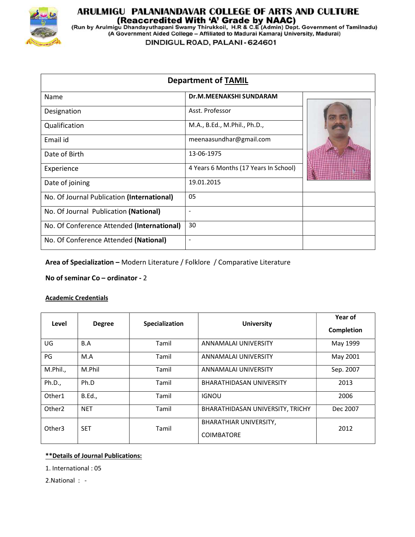

# **ARULMIGU PALANIANDAVAR COLLEGE OF ARTS AND CULTURE<br>(Reaccredited With 'A' Grade by NAAC)<br>(Run by Arulmigu Dhandayuthapani Swamy Thirukkoil, H.R & C.E (Admin) Dept. Government of Tamilnadu)<br>(A Government Aided College – Af**

DINDIGUL ROAD, PALANI - 624601

| <b>Department of TAMIL</b>                 |                                       |  |
|--------------------------------------------|---------------------------------------|--|
| Name                                       | <b>Dr.M.MEENAKSHI SUNDARAM</b>        |  |
| Designation                                | Asst. Professor                       |  |
| Qualification                              | M.A., B.Ed., M.Phil., Ph.D.,          |  |
| Email id                                   | meenaasundhar@gmail.com               |  |
| Date of Birth                              | 13-06-1975                            |  |
| Experience                                 | 4 Years 6 Months (17 Years In School) |  |
| Date of joining                            | 19.01.2015                            |  |
| No. Of Journal Publication (International) | 05                                    |  |
| No. Of Journal Publication (National)      | $\blacksquare$                        |  |
| No. Of Conference Attended (International) | 30                                    |  |
| No. Of Conference Attended (National)      | $\qquad \qquad \blacksquare$          |  |
|                                            |                                       |  |

Area of Specialization – Modern Literature / Folklore / Comparative Literature

No of seminar Co – ordinator - 2

# Academic Credentials

| Level              | <b>Degree</b> | Specialization | <b>University</b>                                  | Year of<br><b>Completion</b> |
|--------------------|---------------|----------------|----------------------------------------------------|------------------------------|
| UG                 | B.A           | Tamil          | ANNAMALAI UNIVERSITY                               | May 1999                     |
| PG                 | M.A           | Tamil          | ANNAMALAI UNIVERSITY                               | May 2001                     |
| M.Phil.,           | M.Phil        | Tamil          | ANNAMALAI UNIVERSITY                               | Sep. 2007                    |
| Ph.D.,             | Ph.D          | Tamil          | <b>BHARATHIDASAN UNIVERSITY</b>                    | 2013                         |
| Other1             | <b>B.Ed.,</b> | Tamil          | <b>IGNOU</b>                                       | 2006                         |
| Other <sub>2</sub> | <b>NET</b>    | Tamil          | BHARATHIDASAN UNIVERSITY, TRICHY                   | Dec 2007                     |
| Other <sub>3</sub> | <b>SET</b>    | Tamil          | <b>BHARATHIAR UNIVERSITY,</b><br><b>COIMBATORE</b> | 2012                         |

# \*\*Details of Journal Publications:

1. International : 05

2.National : -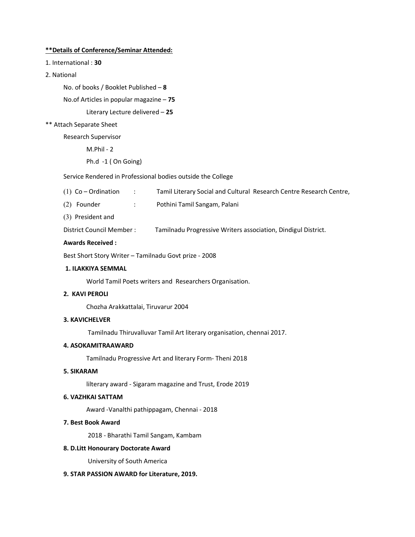### \*\*Details of Conference/Seminar Attended:

- 1. International : 30
- 2. National

No. of books / Booklet Published – 8

No.of Articles in popular magazine – 75

Literary Lecture delivered – 25

### \*\* Attach Separate Sheet

Research Supervisor

M.Phil - 2

Ph.d -1 ( On Going)

# Service Rendered in Professional bodies outside the College

- (1) Co Ordination : Tamil Literary Social and Cultural Research Centre Research Centre,
- (2) Founder : Pothini Tamil Sangam, Palani
- (3) President and

District Council Member : Tamilnadu Progressive Writers association, Dindigul District.

### Awards Received :

Best Short Story Writer – Tamilnadu Govt prize - 2008

### 1. ILAKKIYA SEMMAL

World Tamil Poets writers and Researchers Organisation.

# 2. KAVI PEROLI

Chozha Arakkattalai, Tiruvarur 2004

### 3. KAVICHELVER

Tamilnadu Thiruvalluvar Tamil Art literary organisation, chennai 2017.

# 4. ASOKAMITRAAWARD

Tamilnadu Progressive Art and literary Form- Theni 2018

### 5. SIKARAM

lilterary award - Sigaram magazine and Trust, Erode 2019

# 6. VAZHKAI SATTAM

Award -Vanalthi pathippagam, Chennai - 2018

### 7. Best Book Award

2018 - Bharathi Tamil Sangam, Kambam

# 8. D.Litt Honourary Doctorate Award

University of South America

# 9. STAR PASSION AWARD for Literature, 2019.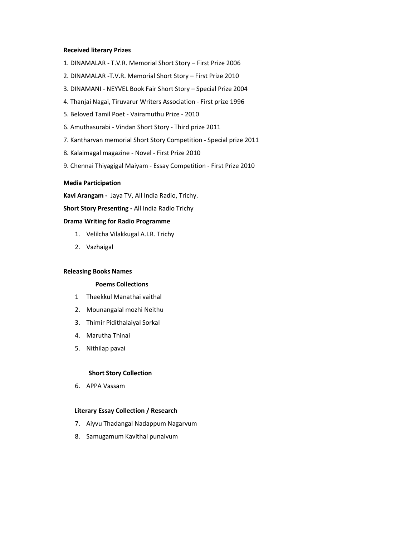### Received literary Prizes

- 1. DINAMALAR T.V.R. Memorial Short Story First Prize 2006
- 2. DINAMALAR -T.V.R. Memorial Short Story First Prize 2010
- 3. DINAMANI NEYVEL Book Fair Short Story Special Prize 2004
- 4. Thanjai Nagai, Tiruvarur Writers Association First prize 1996
- 5. Beloved Tamil Poet Vairamuthu Prize 2010
- 6. Amuthasurabi Vindan Short Story Third prize 2011
- 7. Kantharvan memorial Short Story Competition Special prize 2011
- 8. Kalaimagal magazine Novel First Prize 2010
- 9. Chennai Thiyagigal Maiyam Essay Competition First Prize 2010

### Media Participation

Kavi Arangam - Jaya TV, All India Radio, Trichy.

Short Story Presenting - All India Radio Trichy

### Drama Writing for Radio Programme

- 1. Velilcha Vilakkugal A.I.R. Trichy
- 2. Vazhaigal

### Releasing Books Names

### Poems Collections

- 1 Theekkul Manathai vaithal
- 2. Mounangalal mozhi Neithu
- 3. Thimir Pidithalaiyal Sorkal
- 4. Marutha Thinai
- 5. Nithilap pavai

### Short Story Collection

6. APPA Vassam

### Literary Essay Collection / Research

- 7. Aiyvu Thadangal Nadappum Nagarvum
- 8. Samugamum Kavithai punaivum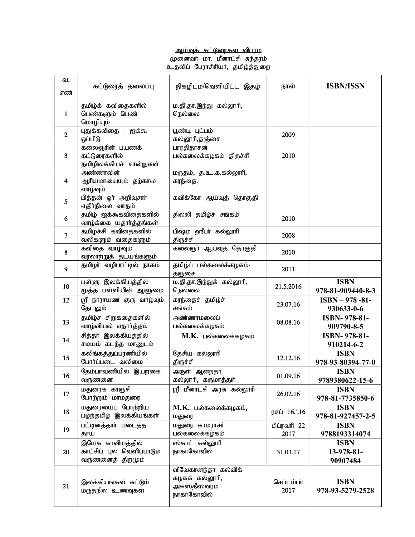# ஆய்வுக் கட்டுரைகள் விபரம் ்பூ<sub>னைவா</sub>.<br>முனைவா் மா. மீனாட்சி சுந்தரம் உதவிப் பேராசிரியர், தமிழ்த்துறை

| வ.<br>எண்        | கட்டுரைத் தலைப்பு                                                  | நிகழிடம்/வெளியிட்ட இதழ்                                             | நாள்                | <b>ISBN/ISSN</b>                      |
|------------------|--------------------------------------------------------------------|---------------------------------------------------------------------|---------------------|---------------------------------------|
| 1                | தமிழ்க் கவிதைகளில்<br>பெண்களும் பெண்<br>மொழியும்                   | ம.தி.தா.இந்து கல்லூரி,<br>நெல்லை                                    |                     |                                       |
| $\boldsymbol{2}$ | புதுக்கவிதை - ஐக்கூ<br>ஒப்பிடு                                     | பூண்டி புட்பம்<br>கல்லூரி,தஞ்சை                                     | 2009                |                                       |
| 3                | கலைஞரின் பயணக்<br>கட்டுரைகளில்<br>தமிழிலக்கியச் சான்றுகள்          | பாரதிதாசன்<br>பல்கலைக்கழகம் திருச்சி                                | 2010                |                                       |
| 4                | அண்ணாவின்<br>ஆரியமாயையும் தற்கால<br>வாழ்வும்                       | மருதம், த.உ.க.கல்லூரி,<br>கரந்தை.                                   |                     |                                       |
| 5                | பித்தன் ஓா் அறிவுசாா்<br>எதிா்நிலை வாதம்                           | கவிக்கோ ஆய்வுத் தொகுதி                                              |                     |                                       |
| 6                | தமிழ் ஐக்கூகவிதைகளில்<br>வாழ்க்கை யதார்த்தங்கள்                    | தில்லி தமிழ்ச் சங்கம்                                               | 2010                |                                       |
| $\overline{7}$   | தமிழச்சி கவிதைகளில்<br>வலிகளும் வதைகளும்                           | பிஷம் ஹீபா் கல்லூரி<br>திருச்சி                                     | 2008                |                                       |
| 8                | கவிதை வாழ்வும்<br>வரலாற்றுத் தடயங்களும்                            | கலைஞா் ஆய்வுத் தொகுதி                                               | 2010                |                                       |
| 9                | தமிழா வழிபாட்டில் நாகம்                                            | தமிழ்ப் பல்கலைக்கழகம்-<br>தஞ்சை                                     | 2011                |                                       |
| 10               | பள்ளு இலக்கியத்தில்<br>மூத்த பள்ளியின் ஆளுமை                       | ம.தி.தா.இந்துக் கல்லூரி,<br>நெல்லை                                  | 21.5.2016           | <b>ISBN</b><br>978-81-909440-8-3      |
| 12               | <b>ஸ்ரீ நாராயண குரு வாழ்வும்</b><br>தேடலும்                        | கரந்தைச் தமிழ்ச்<br>சங்கம்                                          | 23.07.16            | $ISBN - 978 - 81 -$<br>930633-0-6     |
| 13               | தமிழ்ச சிறுகதைகளில்<br>வாழ்வியல் எதார்த்தம்                        | அண்ணாமலைப்<br>பல்கலைக்கழகம்                                         | 08.08.16            | ISBN-978-81-<br>909790-8-5            |
| 14               | சித்தா் இலக்கியத்தில்<br>சமயம் கடந்த மானுடம்                       | $M.K.$ பல்கலைக்கழகம்                                                |                     | ISBN-978-81-<br>910214-6-2            |
| 15               | கலிங்கத்துப்பரணியில்<br>போர்ப்படை வலிமை                            | தேசிய கல்லூரி<br>திருச்சி                                           | 12.12.16            | <b>ISBN</b><br>978-93-80394-77-0      |
| 16               | தேம்பாவணியில் இயற்கை<br>வருணனை                                     | அருள் ஆனந்தா்<br>கல்லூரி, கருமாத்துா்                               | 01.09.16            | <b>ISBN</b><br>9789380622-15-6        |
| 17               | மதுரைக் காஞ்சி<br>போற்றும் மாமதுரை                                 | ஸ்ரீ மீனாட்சி அரசு கல்லூரி                                          | 26.02.16            | <b>ISBN</b><br>978-81-7735850-6       |
| 18               | மதுரையைப் போற்றிய<br>பழந்தமிழ் இலக்கியங்கள்                        | $M.K.$ பல்கலைக்கழகம்,<br>மதுரை                                      | ரசப் 16∴16          | <b>ISBN</b><br>978-81-927457-2-5      |
| 19               | பட்டினத்தார் படைத்த<br>தாய்                                        | மதுரை காமராசர்<br>பல்கலைக்கழகம்                                     | பிப்ரவரி 22<br>2017 | <b>ISBN</b><br>9788193314074          |
| 20               | இயேசு காவியத்தில்<br>காட்சிப் புல வெளிப்பாடும்<br>வருணனைத் திறமும் | ஸ்காட் கல்லூரி<br>நாகா்கோவில்                                       | 31.03.17            | <b>ISBN</b><br>13-978-81-<br>90907484 |
| 21               | இலக்கியங்கள் சுட்டும்<br>மருதநில உணவுகள்                           | விவேகானந்தா கல்விக்<br>கழகக் கல்லூரி,<br>அகஸ்தீஸ்வரம்<br>நாகாகோவில் | செப்டம்பா்<br>2017  | <b>ISBN</b><br>978-93-5279-2528       |